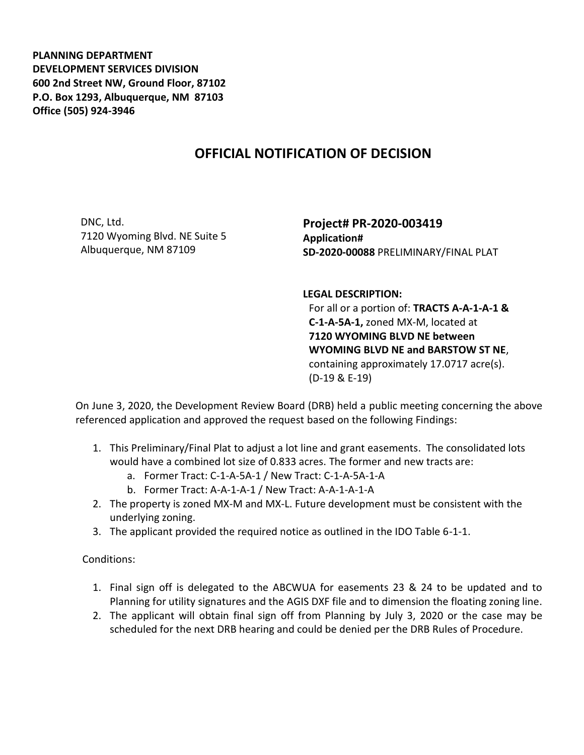**PLANNING DEPARTMENT DEVELOPMENT SERVICES DIVISION 600 2nd Street NW, Ground Floor, 87102 P.O. Box 1293, Albuquerque, NM 87103 Office (505) 924-3946** 

## **OFFICIAL NOTIFICATION OF DECISION**

DNC, Ltd. 7120 Wyoming Blvd. NE Suite 5 Albuquerque, NM 87109

**Project# PR-2020-003419 Application# SD-2020-00088** PRELIMINARY/FINAL PLAT

**LEGAL DESCRIPTION:**

For all or a portion of: **TRACTS A-A-1-A-1 & C-1-A-5A-1,** zoned MX-M, located at **7120 WYOMING BLVD NE between WYOMING BLVD NE and BARSTOW ST NE**, containing approximately 17.0717 acre(s). (D-19 & E-19)

On June 3, 2020, the Development Review Board (DRB) held a public meeting concerning the above referenced application and approved the request based on the following Findings:

- 1. This Preliminary/Final Plat to adjust a lot line and grant easements. The consolidated lots would have a combined lot size of 0.833 acres. The former and new tracts are:
	- a. Former Tract: C-1-A-5A-1 / New Tract: C-1-A-5A-1-A
	- b. Former Tract: A-A-1-A-1 / New Tract: A-A-1-A-1-A
- 2. The property is zoned MX-M and MX-L. Future development must be consistent with the underlying zoning.
- 3. The applicant provided the required notice as outlined in the IDO Table 6-1-1.

Conditions:

- 1. Final sign off is delegated to the ABCWUA for easements 23 & 24 to be updated and to Planning for utility signatures and the AGIS DXF file and to dimension the floating zoning line.
- 2. The applicant will obtain final sign off from Planning by July 3, 2020 or the case may be scheduled for the next DRB hearing and could be denied per the DRB Rules of Procedure.